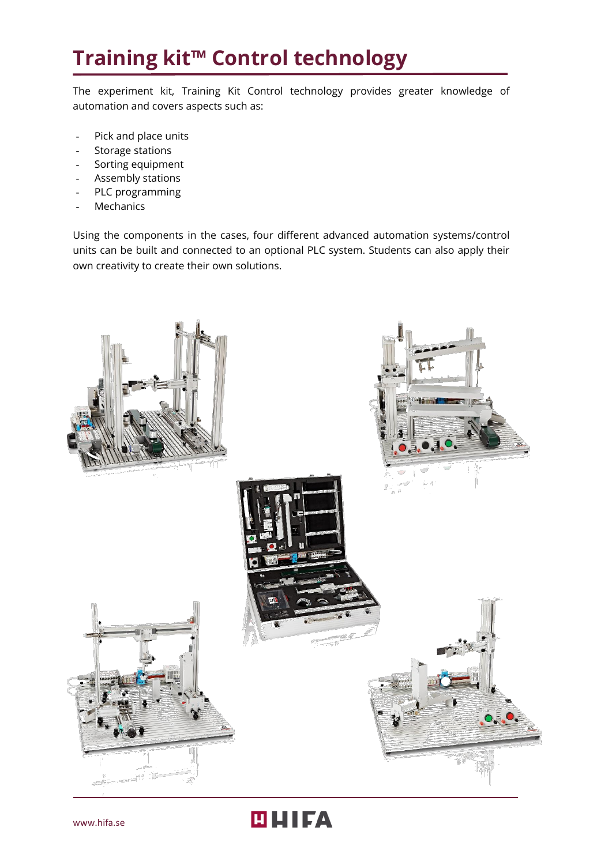## **Training kit™ Control technology**

The experiment kit, Training Kit Control technology provides greater knowledge of automation and covers aspects such as:

- Pick and place units
- Storage stations
- Sorting equipment
- Assembly stations
- PLC programming
- **Mechanics**

Using the components in the cases, four different advanced automation systems/control units can be built and connected to an optional PLC system. Students can also apply their own creativity to create their own solutions.